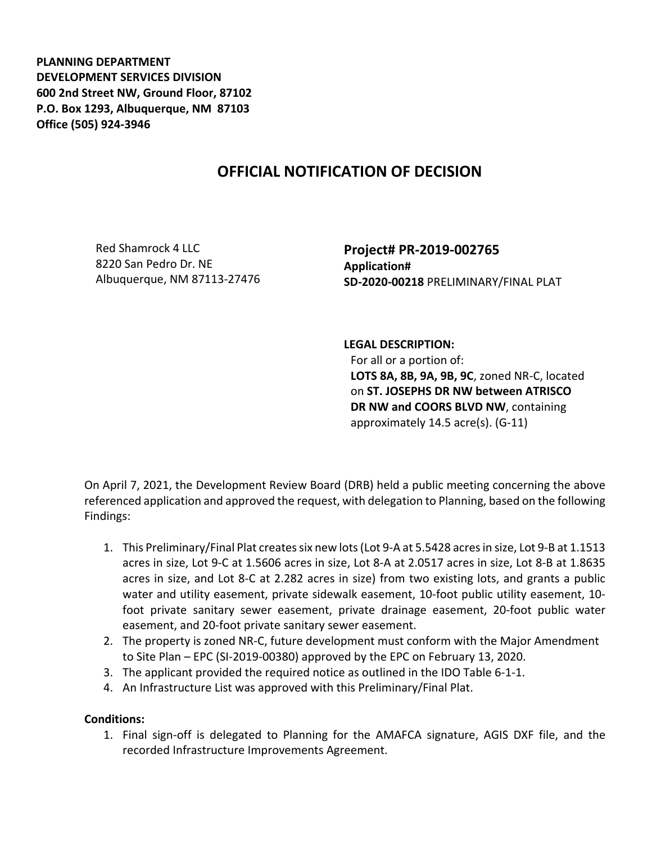**PLANNING DEPARTMENT DEVELOPMENT SERVICES DIVISION 600 2nd Street NW, Ground Floor, 87102 P.O. Box 1293, Albuquerque, NM 87103 Office (505) 924-3946** 

## **OFFICIAL NOTIFICATION OF DECISION**

Red Shamrock 4 LLC 8220 San Pedro Dr. NE Albuquerque, NM 87113-27476 **Project# PR-2019-002765 Application# SD-2020-00218** PRELIMINARY/FINAL PLAT

## **LEGAL DESCRIPTION:**

For all or a portion of: **LOTS 8A, 8B, 9A, 9B, 9C**, zoned NR-C, located on **ST. JOSEPHS DR NW between ATRISCO DR NW and COORS BLVD NW**, containing approximately 14.5 acre(s). (G-11)

On April 7, 2021, the Development Review Board (DRB) held a public meeting concerning the above referenced application and approved the request, with delegation to Planning, based on the following Findings:

- 1. This Preliminary/Final Plat creates six new lots (Lot 9-A at 5.5428 acres in size, Lot 9-B at 1.1513 acres in size, Lot 9-C at 1.5606 acres in size, Lot 8-A at 2.0517 acres in size, Lot 8-B at 1.8635 acres in size, and Lot 8-C at 2.282 acres in size) from two existing lots, and grants a public water and utility easement, private sidewalk easement, 10-foot public utility easement, 10 foot private sanitary sewer easement, private drainage easement, 20-foot public water easement, and 20-foot private sanitary sewer easement.
- 2. The property is zoned NR-C, future development must conform with the Major Amendment to Site Plan – EPC (SI-2019-00380) approved by the EPC on February 13, 2020.
- 3. The applicant provided the required notice as outlined in the IDO Table 6-1-1.
- 4. An Infrastructure List was approved with this Preliminary/Final Plat.

## **Conditions:**

1. Final sign-off is delegated to Planning for the AMAFCA signature, AGIS DXF file, and the recorded Infrastructure Improvements Agreement.